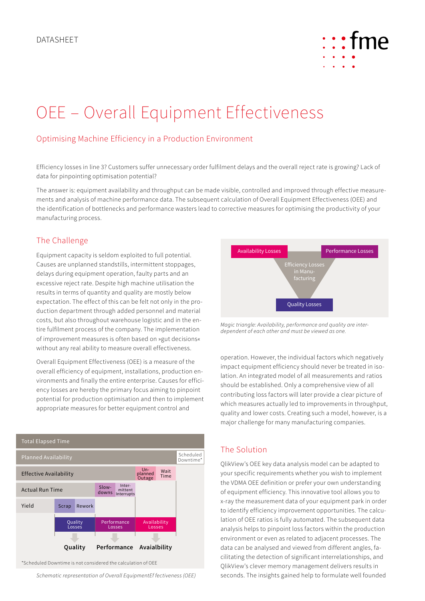

# OEE – Overall Equipment Effectiveness

# Optimising Machine Efficiency in a Production Environment

Efficiency losses in line 3? Customers suffer unnecessary order fulfilment delays and the overall reject rate is growing? Lack of data for pinpointing optimisation potential?

The answer is: equipment availability and throughput can be made visible, controlled and improved through effective measurements and analysis of machine performance data. The subsequent calculation of Overall Equipment Effectiveness (OEE) and the identification of bottlenecks and performance wasters lead to corrective measures for optimising the productivity of your manufacturing process.

#### The Challenge

Equipment capacity is seldom exploited to full potential. Causes are unplanned standstills, intermittent stoppages, delays during equipment operation, faulty parts and an excessive reject rate. Despite high machine utilisation the results in terms of quantity and quality are mostly below expectation. The effect of this can be felt not only in the production department through added personnel and material costs, but also throughout warehouse logistic and in the entire fulfilment process of the company. The implementation of improvement measures is often based on »gut decisions« without any real ability to measure overall effectiveness.

Overall Equipment Effectiveness (OEE) is a measure of the overall efficiency of equipment, installations, production environments and finally the entire enterprise. Causes for efficiency losses are hereby the primary focus aiming to pinpoint potential for production optimisation and then to implement appropriate measures for better equipment control and



\*Scheduled Downtime is not considered the calculation of OEE

*Schematic representation of Overall EquipmentEf fectiveness (OEE)*



*Magic triangle: Availability, performance and quality are interdependent of each other and must be viewed as one.*

operation. However, the individual factors which negatively impact equipment efficiency should never be treated in isolation. An integrated model of all measurements and ratios should be established. Only a comprehensive view of all contributing loss factors will later provide a clear picture of which measures actually led to improvements in throughput, quality and lower costs. Creating such a model, however, is a major challenge for many manufacturing companies.

### The Solution

QlikView's OEE key data analysis model can be adapted to your specific requirements whether you wish to implement the VDMA OEE definition or prefer your own understanding of equipment efficiency. This innovative tool allows you to x-ray the measurement data of your equipment park in order to identify efficiency improvement opportunities. The calculation of OEE ratios is fully automated. The subsequent data analysis helps to pinpoint loss factors within the production environment or even as related to adjacent processes. The data can be analysed and viewed from different angles, facilitating the detection of significant interrelationships, and QlikView's clever memory management delivers results in seconds. The insights gained help to formulate well founded